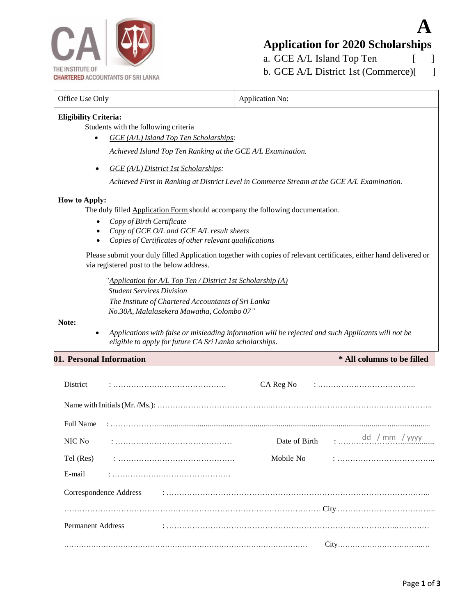

# **A Application for 2020 Scholarships**

a. GCE A/L Island Top Ten [ ] b. GCE A/L District 1st (Commerce)[ ]

| Office Use Only                                                                                                                                                                                                                                                         | Application No:                                                                                                    |  |  |  |  |  |  |  |
|-------------------------------------------------------------------------------------------------------------------------------------------------------------------------------------------------------------------------------------------------------------------------|--------------------------------------------------------------------------------------------------------------------|--|--|--|--|--|--|--|
| <b>Eligibility Criteria:</b><br>Students with the following criteria<br>GCE (A/L) Island Top Ten Scholarships:                                                                                                                                                          |                                                                                                                    |  |  |  |  |  |  |  |
| Achieved Island Top Ten Ranking at the GCE A/L Examination.                                                                                                                                                                                                             |                                                                                                                    |  |  |  |  |  |  |  |
| GCE (A/L) District 1st Scholarships:<br>$\bullet$                                                                                                                                                                                                                       |                                                                                                                    |  |  |  |  |  |  |  |
|                                                                                                                                                                                                                                                                         | Achieved First in Ranking at District Level in Commerce Stream at the GCE A/L Examination.                         |  |  |  |  |  |  |  |
| <b>How to Apply:</b><br>The duly filled <b>Application Form</b> should accompany the following documentation.<br>Copy of Birth Certificate<br>Copy of GCE O/L and GCE A/L result sheets<br>Copies of Certificates of other relevant qualifications                      |                                                                                                                    |  |  |  |  |  |  |  |
| via registered post to the below address.                                                                                                                                                                                                                               | Please submit your duly filled Application together with copies of relevant certificates, either hand delivered or |  |  |  |  |  |  |  |
| "Application for A/L Top Ten / District 1st Scholarship (A)<br><b>Student Services Division</b><br>The Institute of Chartered Accountants of Sri Lanka<br>No.30A, Malalasekera Mawatha, Colombo 07"<br>Note:<br>eligible to apply for future CA Sri Lanka scholarships. | Applications with false or misleading information will be rejected and such Applicants will not be                 |  |  |  |  |  |  |  |
| 01. Personal Information                                                                                                                                                                                                                                                | * All columns to be filled                                                                                         |  |  |  |  |  |  |  |
| District                                                                                                                                                                                                                                                                | CA Reg No                                                                                                          |  |  |  |  |  |  |  |
|                                                                                                                                                                                                                                                                         |                                                                                                                    |  |  |  |  |  |  |  |
| <b>Full Name</b>                                                                                                                                                                                                                                                        |                                                                                                                    |  |  |  |  |  |  |  |
| NIC No                                                                                                                                                                                                                                                                  | dd / mm / yyyy<br>Date of Birth                                                                                    |  |  |  |  |  |  |  |
| Tel (Res)                                                                                                                                                                                                                                                               | Mobile No                                                                                                          |  |  |  |  |  |  |  |
| E-mail                                                                                                                                                                                                                                                                  |                                                                                                                    |  |  |  |  |  |  |  |
| Correspondence Address                                                                                                                                                                                                                                                  |                                                                                                                    |  |  |  |  |  |  |  |
|                                                                                                                                                                                                                                                                         |                                                                                                                    |  |  |  |  |  |  |  |
| <b>Permanent Address</b>                                                                                                                                                                                                                                                |                                                                                                                    |  |  |  |  |  |  |  |
|                                                                                                                                                                                                                                                                         |                                                                                                                    |  |  |  |  |  |  |  |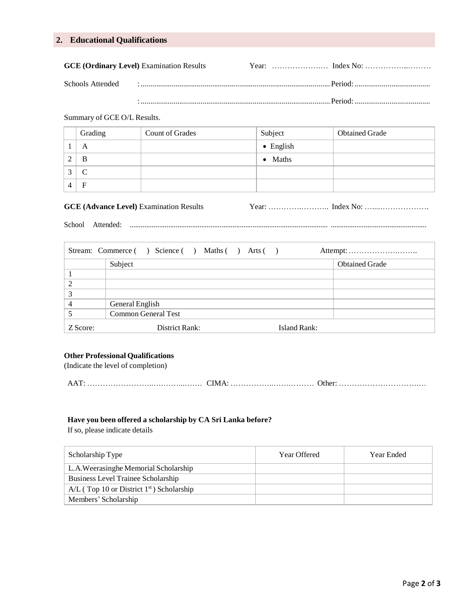# **2. Educational Qualifications**

|                  | <b>GCE (Ordinary Level)</b> Examination Results |  |
|------------------|-------------------------------------------------|--|
| Schools Attended |                                                 |  |

:..................................................................................................Period:.......................................

#### Summary of GCE O/L Results.

| Grading | <b>Count of Grades</b> | Subject           | <b>Obtained Grade</b> |
|---------|------------------------|-------------------|-----------------------|
| A       |                        | $\bullet$ English |                       |
| B       |                        | $\bullet$ Maths   |                       |
|         |                        |                   |                       |
| F       |                        |                   |                       |

# GCE (Advance Level) Examination Results Year: …………………… Index No: …………………………………………

School Attended: ............................................................................................................ ....................................................

| Stream: Commerce () Science () Maths () Arts () |                     |                       |  |  |  |
|-------------------------------------------------|---------------------|-----------------------|--|--|--|
|                                                 | Subject             | <b>Obtained Grade</b> |  |  |  |
|                                                 |                     |                       |  |  |  |
|                                                 |                     |                       |  |  |  |
|                                                 |                     |                       |  |  |  |
|                                                 | General English     |                       |  |  |  |
|                                                 | Common General Test |                       |  |  |  |
| Z Score:                                        | District Rank:      | Island Rank:          |  |  |  |

#### **Other Professional Qualifications**

(Indicate the level of completion)

|--|--|--|

#### **Have you been offered a scholarship by CA Sri Lanka before?**

If so, please indicate details

| Scholarship Type                                        | Year Offered | Year Ended |
|---------------------------------------------------------|--------------|------------|
| L.A. Weerasinghe Memorial Scholarship                   |              |            |
| Business Level Trainee Scholarship                      |              |            |
| $A/L$ (Top 10 or District 1 <sup>st</sup> ) Scholarship |              |            |
| Members' Scholarship                                    |              |            |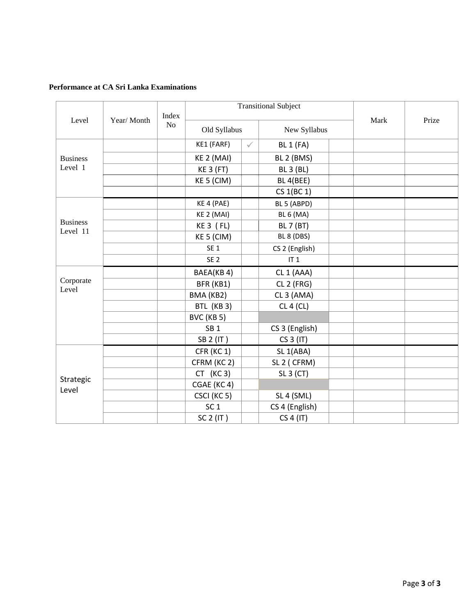### **Performance at CA Sri Lanka Examinations**

|                             | Year/Month | Index<br>N <sub>o</sub> | <b>Transitional Subject</b> |              |                        | Mark | Prize |  |
|-----------------------------|------------|-------------------------|-----------------------------|--------------|------------------------|------|-------|--|
| Level                       |            |                         | Old Syllabus                |              | New Syllabus           |      |       |  |
|                             |            |                         | KE1 (FARF)                  | $\checkmark$ | <b>BL 1 (FA)</b>       |      |       |  |
| <b>Business</b>             |            |                         | KE 2 (MAI)                  |              | BL 2 (BMS)             |      |       |  |
| Level 1                     |            |                         | <b>KE 3 (FT)</b>            |              | <b>BL 3 (BL)</b>       |      |       |  |
|                             |            |                         | KE 5 (CIM)                  |              | BL 4(BEE)              |      |       |  |
|                             |            |                         |                             |              | CS 1(BC 1)             |      |       |  |
|                             |            |                         | KE 4 (PAE)                  |              | BL 5 (ABPD)            |      |       |  |
|                             |            |                         | KE 2 (MAI)                  |              | <b>BL 6 (MA)</b>       |      |       |  |
| <b>Business</b><br>Level 11 |            |                         | $KE3$ ( $FL$ )              |              | <b>BL 7 (BT)</b>       |      |       |  |
|                             |            |                         | KE 5 (CIM)                  |              | BL 8 (DBS)             |      |       |  |
|                             |            |                         | SE <sub>1</sub>             |              | CS 2 (English)         |      |       |  |
|                             |            |                         | SE <sub>2</sub>             |              | IT <sub>1</sub>        |      |       |  |
|                             |            |                         | BAEA(KB 4)                  |              | CL 1 (AAA)             |      |       |  |
| Corporate<br>Level          |            |                         | BFR (KB1)                   |              | CL 2 (FRG)             |      |       |  |
|                             |            |                         | BMA (KB2)                   |              | CL 3 (AMA)             |      |       |  |
|                             |            |                         | BTL (KB 3)                  |              | CL 4 (CL)              |      |       |  |
|                             |            |                         | BVC (KB 5)                  |              |                        |      |       |  |
|                             |            |                         | SB <sub>1</sub>             |              | CS 3 (English)         |      |       |  |
|                             |            |                         | SB 2 (IT)                   |              | CS 3 (IT)              |      |       |  |
|                             |            |                         | CFR (KC 1)                  |              | SL <sub>1</sub> (ABA)  |      |       |  |
|                             |            |                         | CFRM (KC 2)                 |              | SL <sub>2</sub> (CFRM) |      |       |  |
|                             |            |                         | $CT$ (KC 3)                 |              | SL 3 (CT)              |      |       |  |
| Strategic<br>Level          |            |                         | CGAE (KC4)                  |              |                        |      |       |  |
|                             |            |                         | CSCI (KC 5)                 |              | SL 4 (SML)             |      |       |  |
|                             |            |                         | SC <sub>1</sub>             |              | CS 4 (English)         |      |       |  |
|                             |            |                         | $SC2$ (IT)                  |              | CS 4 (IT)              |      |       |  |